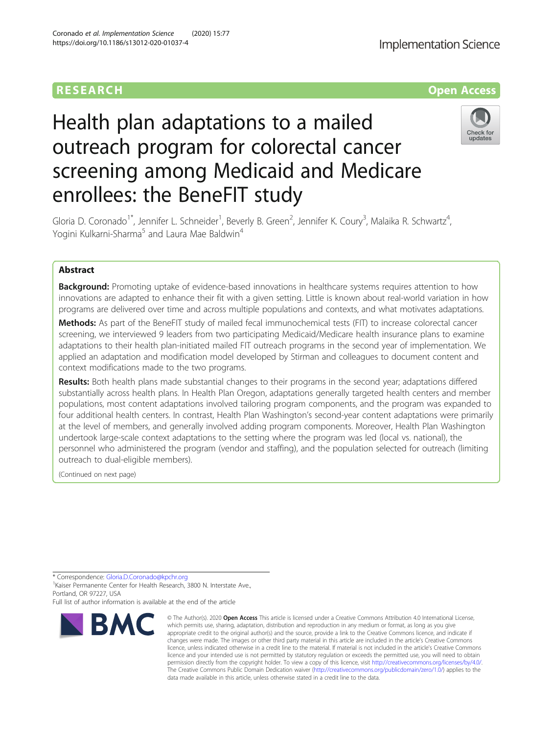# RESEARCH **RESEARCH CONSUMING ACCESS**

# Health plan adaptations to a mailed outreach program for colorectal cancer screening among Medicaid and Medicare enrollees: the BeneFIT study



Gloria D. Coronado<sup>1\*</sup>, Jennifer L. Schneider<sup>1</sup>, Beverly B. Green<sup>2</sup>, Jennifer K. Coury<sup>3</sup>, Malaika R. Schwartz<sup>4</sup> , Yogini Kulkarni-Sharma<sup>5</sup> and Laura Mae Baldwin<sup>4</sup>

## Abstract

**Background:** Promoting uptake of evidence-based innovations in healthcare systems requires attention to how innovations are adapted to enhance their fit with a given setting. Little is known about real-world variation in how programs are delivered over time and across multiple populations and contexts, and what motivates adaptations.

Methods: As part of the BeneFIT study of mailed fecal immunochemical tests (FIT) to increase colorectal cancer screening, we interviewed 9 leaders from two participating Medicaid/Medicare health insurance plans to examine adaptations to their health plan-initiated mailed FIT outreach programs in the second year of implementation. We applied an adaptation and modification model developed by Stirman and colleagues to document content and context modifications made to the two programs.

Results: Both health plans made substantial changes to their programs in the second year; adaptations differed substantially across health plans. In Health Plan Oregon, adaptations generally targeted health centers and member populations, most content adaptations involved tailoring program components, and the program was expanded to four additional health centers. In contrast, Health Plan Washington's second-year content adaptations were primarily at the level of members, and generally involved adding program components. Moreover, Health Plan Washington undertook large-scale context adaptations to the setting where the program was led (local vs. national), the personnel who administered the program (vendor and staffing), and the population selected for outreach (limiting outreach to dual-eligible members).

(Continued on next page)

\* Correspondence: [Gloria.D.Coronado@kpchr.org](mailto:Gloria.D.Coronado@kpchr.org) <sup>1</sup>

<sup>1</sup> Kaiser Permanente Center for Health Research, 3800 N. Interstate Ave., Portland, OR 97227, USA

Full list of author information is available at the end of the article



<sup>©</sup> The Author(s), 2020 **Open Access** This article is licensed under a Creative Commons Attribution 4.0 International License, which permits use, sharing, adaptation, distribution and reproduction in any medium or format, as long as you give appropriate credit to the original author(s) and the source, provide a link to the Creative Commons licence, and indicate if changes were made. The images or other third party material in this article are included in the article's Creative Commons licence, unless indicated otherwise in a credit line to the material. If material is not included in the article's Creative Commons licence and your intended use is not permitted by statutory regulation or exceeds the permitted use, you will need to obtain permission directly from the copyright holder. To view a copy of this licence, visit [http://creativecommons.org/licenses/by/4.0/.](http://creativecommons.org/licenses/by/4.0/) The Creative Commons Public Domain Dedication waiver [\(http://creativecommons.org/publicdomain/zero/1.0/](http://creativecommons.org/publicdomain/zero/1.0/)) applies to the data made available in this article, unless otherwise stated in a credit line to the data.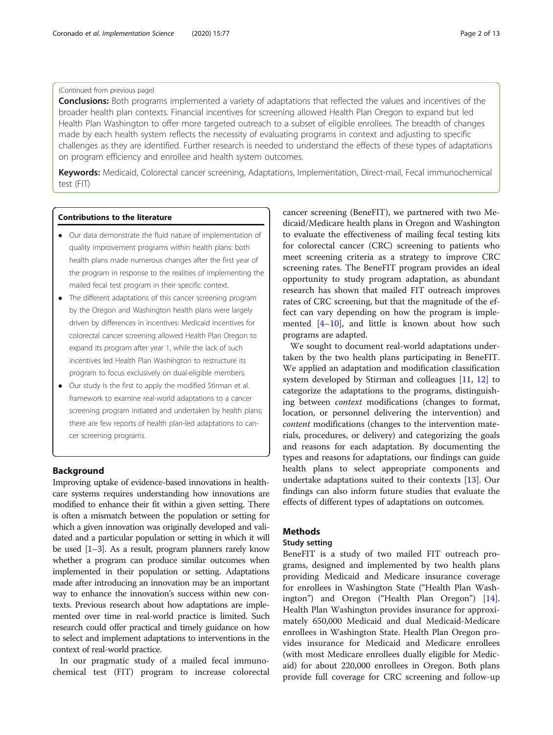**Conclusions:** Both programs implemented a variety of adaptations that reflected the values and incentives of the broader health plan contexts. Financial incentives for screening allowed Health Plan Oregon to expand but led Health Plan Washington to offer more targeted outreach to a subset of eligible enrollees. The breadth of changes made by each health system reflects the necessity of evaluating programs in context and adjusting to specific challenges as they are identified. Further research is needed to understand the effects of these types of adaptations on program efficiency and enrollee and health system outcomes.

Keywords: Medicaid, Colorectal cancer screening, Adaptations, Implementation, Direct-mail, Fecal immunochemical test (FIT)

#### Contributions to the literature

- Our data demonstrate the fluid nature of implementation of quality improvement programs within health plans: both health plans made numerous changes after the first year of the program in response to the realities of implementing the mailed fecal test program in their specific context.
- The different adaptations of this cancer screening program by the Oregon and Washington health plans were largely driven by differences in incentives: Medicaid incentives for colorectal cancer screening allowed Health Plan Oregon to expand its program after year 1, while the lack of such incentives led Health Plan Washington to restructure its program to focus exclusively on dual-eligible members.
- Our study is the first to apply the modified Stirman et al. framework to examine real-world adaptations to a cancer screening program initiated and undertaken by health plans; there are few reports of health plan-led adaptations to cancer screening programs.

#### Background

Improving uptake of evidence-based innovations in healthcare systems requires understanding how innovations are modified to enhance their fit within a given setting. There is often a mismatch between the population or setting for which a given innovation was originally developed and validated and a particular population or setting in which it will be used  $[1-3]$  $[1-3]$  $[1-3]$ . As a result, program planners rarely know whether a program can produce similar outcomes when implemented in their population or setting. Adaptations made after introducing an innovation may be an important way to enhance the innovation's success within new contexts. Previous research about how adaptations are implemented over time in real-world practice is limited. Such research could offer practical and timely guidance on how to select and implement adaptations to interventions in the context of real-world practice.

In our pragmatic study of a mailed fecal immunochemical test (FIT) program to increase colorectal

cancer screening (BeneFIT), we partnered with two Medicaid/Medicare health plans in Oregon and Washington to evaluate the effectiveness of mailing fecal testing kits for colorectal cancer (CRC) screening to patients who meet screening criteria as a strategy to improve CRC screening rates. The BeneFIT program provides an ideal opportunity to study program adaptation, as abundant research has shown that mailed FIT outreach improves rates of CRC screening, but that the magnitude of the effect can vary depending on how the program is implemented [[4](#page-12-0)–[10](#page-12-0)], and little is known about how such programs are adapted.

We sought to document real-world adaptations undertaken by the two health plans participating in BeneFIT. We applied an adaptation and modification classification system developed by Stirman and colleagues [[11,](#page-12-0) [12](#page-12-0)] to categorize the adaptations to the programs, distinguishing between context modifications (changes to format, location, or personnel delivering the intervention) and content modifications (changes to the intervention materials, procedures, or delivery) and categorizing the goals and reasons for each adaptation. By documenting the types and reasons for adaptations, our findings can guide health plans to select appropriate components and undertake adaptations suited to their contexts [\[13](#page-12-0)]. Our findings can also inform future studies that evaluate the effects of different types of adaptations on outcomes.

#### **Methods**

#### Study setting

BeneFIT is a study of two mailed FIT outreach programs, designed and implemented by two health plans providing Medicaid and Medicare insurance coverage for enrollees in Washington State ("Health Plan Washington") and Oregon ("Health Plan Oregon") [\[14](#page-12-0)]. Health Plan Washington provides insurance for approximately 650,000 Medicaid and dual Medicaid-Medicare enrollees in Washington State. Health Plan Oregon provides insurance for Medicaid and Medicare enrollees (with most Medicare enrollees dually eligible for Medicaid) for about 220,000 enrollees in Oregon. Both plans provide full coverage for CRC screening and follow-up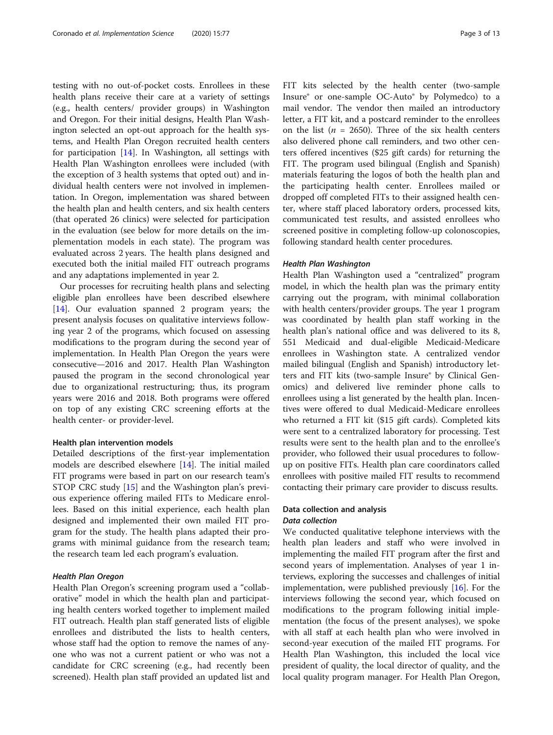testing with no out-of-pocket costs. Enrollees in these health plans receive their care at a variety of settings (e.g., health centers/ provider groups) in Washington and Oregon. For their initial designs, Health Plan Washington selected an opt-out approach for the health systems, and Health Plan Oregon recruited health centers for participation [[14\]](#page-12-0). In Washington, all settings with Health Plan Washington enrollees were included (with the exception of 3 health systems that opted out) and individual health centers were not involved in implementation. In Oregon, implementation was shared between the health plan and health centers, and six health centers (that operated 26 clinics) were selected for participation in the evaluation (see below for more details on the implementation models in each state). The program was evaluated across 2 years. The health plans designed and executed both the initial mailed FIT outreach programs and any adaptations implemented in year 2.

Our processes for recruiting health plans and selecting eligible plan enrollees have been described elsewhere [[14\]](#page-12-0). Our evaluation spanned 2 program years; the present analysis focuses on qualitative interviews following year 2 of the programs, which focused on assessing modifications to the program during the second year of implementation. In Health Plan Oregon the years were consecutive—2016 and 2017. Health Plan Washington paused the program in the second chronological year due to organizational restructuring; thus, its program years were 2016 and 2018. Both programs were offered on top of any existing CRC screening efforts at the health center- or provider-level.

#### Health plan intervention models

Detailed descriptions of the first-year implementation models are described elsewhere [\[14](#page-12-0)]. The initial mailed FIT programs were based in part on our research team's STOP CRC study [[15\]](#page-12-0) and the Washington plan's previous experience offering mailed FITs to Medicare enrollees. Based on this initial experience, each health plan designed and implemented their own mailed FIT program for the study. The health plans adapted their programs with minimal guidance from the research team; the research team led each program's evaluation.

#### Health Plan Oregon

Health Plan Oregon's screening program used a "collaborative" model in which the health plan and participating health centers worked together to implement mailed FIT outreach. Health plan staff generated lists of eligible enrollees and distributed the lists to health centers, whose staff had the option to remove the names of anyone who was not a current patient or who was not a candidate for CRC screening (e.g., had recently been screened). Health plan staff provided an updated list and FIT kits selected by the health center (two-sample Insure® or one-sample OC-Auto® by Polymedco) to a mail vendor. The vendor then mailed an introductory letter, a FIT kit, and a postcard reminder to the enrollees on the list ( $n = 2650$ ). Three of the six health centers also delivered phone call reminders, and two other centers offered incentives (\$25 gift cards) for returning the FIT. The program used bilingual (English and Spanish) materials featuring the logos of both the health plan and the participating health center. Enrollees mailed or dropped off completed FITs to their assigned health center, where staff placed laboratory orders, processed kits, communicated test results, and assisted enrollees who screened positive in completing follow-up colonoscopies, following standard health center procedures.

#### Health Plan Washington

Health Plan Washington used a "centralized" program model, in which the health plan was the primary entity carrying out the program, with minimal collaboration with health centers/provider groups. The year 1 program was coordinated by health plan staff working in the health plan's national office and was delivered to its 8, 551 Medicaid and dual-eligible Medicaid-Medicare enrollees in Washington state. A centralized vendor mailed bilingual (English and Spanish) introductory letters and FIT kits (two-sample Insure® by Clinical Genomics) and delivered live reminder phone calls to enrollees using a list generated by the health plan. Incentives were offered to dual Medicaid-Medicare enrollees who returned a FIT kit (\$15 gift cards). Completed kits were sent to a centralized laboratory for processing. Test results were sent to the health plan and to the enrollee's provider, who followed their usual procedures to followup on positive FITs. Health plan care coordinators called enrollees with positive mailed FIT results to recommend contacting their primary care provider to discuss results.

#### Data collection and analysis

#### Data collection

We conducted qualitative telephone interviews with the health plan leaders and staff who were involved in implementing the mailed FIT program after the first and second years of implementation. Analyses of year 1 interviews, exploring the successes and challenges of initial implementation, were published previously [\[16](#page-12-0)]. For the interviews following the second year, which focused on modifications to the program following initial implementation (the focus of the present analyses), we spoke with all staff at each health plan who were involved in second-year execution of the mailed FIT programs. For Health Plan Washington, this included the local vice president of quality, the local director of quality, and the local quality program manager. For Health Plan Oregon,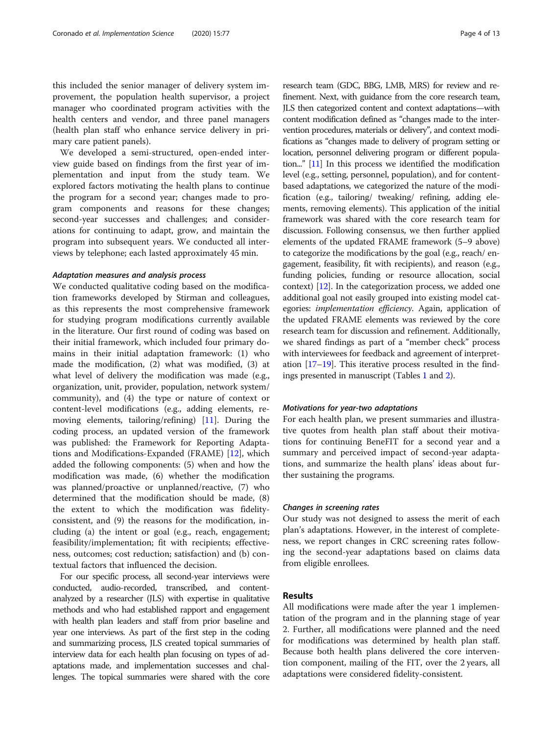this included the senior manager of delivery system improvement, the population health supervisor, a project manager who coordinated program activities with the health centers and vendor, and three panel managers (health plan staff who enhance service delivery in primary care patient panels).

We developed a semi-structured, open-ended interview guide based on findings from the first year of implementation and input from the study team. We explored factors motivating the health plans to continue the program for a second year; changes made to program components and reasons for these changes; second-year successes and challenges; and considerations for continuing to adapt, grow, and maintain the program into subsequent years. We conducted all interviews by telephone; each lasted approximately 45 min.

#### Adaptation measures and analysis process

We conducted qualitative coding based on the modification frameworks developed by Stirman and colleagues, as this represents the most comprehensive framework for studying program modifications currently available in the literature. Our first round of coding was based on their initial framework, which included four primary domains in their initial adaptation framework: (1) who made the modification, (2) what was modified, (3) at what level of delivery the modification was made (e.g., organization, unit, provider, population, network system/ community), and (4) the type or nature of context or content-level modifications (e.g., adding elements, removing elements, tailoring/refining) [[11\]](#page-12-0). During the coding process, an updated version of the framework was published: the Framework for Reporting Adaptations and Modifications-Expanded (FRAME) [[12](#page-12-0)], which added the following components: (5) when and how the modification was made, (6) whether the modification was planned/proactive or unplanned/reactive, (7) who determined that the modification should be made, (8) the extent to which the modification was fidelityconsistent, and (9) the reasons for the modification, including (a) the intent or goal (e.g., reach, engagement; feasibility/implementation; fit with recipients; effectiveness, outcomes; cost reduction; satisfaction) and (b) contextual factors that influenced the decision.

For our specific process, all second-year interviews were conducted, audio-recorded, transcribed, and contentanalyzed by a researcher (JLS) with expertise in qualitative methods and who had established rapport and engagement with health plan leaders and staff from prior baseline and year one interviews. As part of the first step in the coding and summarizing process, JLS created topical summaries of interview data for each health plan focusing on types of adaptations made, and implementation successes and challenges. The topical summaries were shared with the core

research team (GDC, BBG, LMB, MRS) for review and refinement. Next, with guidance from the core research team, JLS then categorized content and context adaptations—with content modification defined as "changes made to the intervention procedures, materials or delivery", and context modifications as "changes made to delivery of program setting or location, personnel delivering program or different population..." [\[11\]](#page-12-0) In this process we identified the modification level (e.g., setting, personnel, population), and for contentbased adaptations, we categorized the nature of the modification (e.g., tailoring/ tweaking/ refining, adding elements, removing elements). This application of the initial framework was shared with the core research team for discussion. Following consensus, we then further applied elements of the updated FRAME framework (5–9 above) to categorize the modifications by the goal (e.g., reach/ engagement, feasibility, fit with recipients), and reason (e.g., funding policies, funding or resource allocation, social context) [[12](#page-12-0)]. In the categorization process, we added one additional goal not easily grouped into existing model categories: implementation efficiency. Again, application of the updated FRAME elements was reviewed by the core research team for discussion and refinement. Additionally, we shared findings as part of a "member check" process with interviewees for feedback and agreement of interpretation [[17](#page-12-0)–[19\]](#page-12-0). This iterative process resulted in the findings presented in manuscript (Tables [1](#page-4-0) and [2\)](#page-6-0).

#### Motivations for year-two adaptations

For each health plan, we present summaries and illustrative quotes from health plan staff about their motivations for continuing BeneFIT for a second year and a summary and perceived impact of second-year adaptations, and summarize the health plans' ideas about further sustaining the programs.

#### Changes in screening rates

Our study was not designed to assess the merit of each plan's adaptations. However, in the interest of completeness, we report changes in CRC screening rates following the second-year adaptations based on claims data from eligible enrollees.

#### Results

All modifications were made after the year 1 implementation of the program and in the planning stage of year 2. Further, all modifications were planned and the need for modifications was determined by health plan staff. Because both health plans delivered the core intervention component, mailing of the FIT, over the 2 years, all adaptations were considered fidelity-consistent.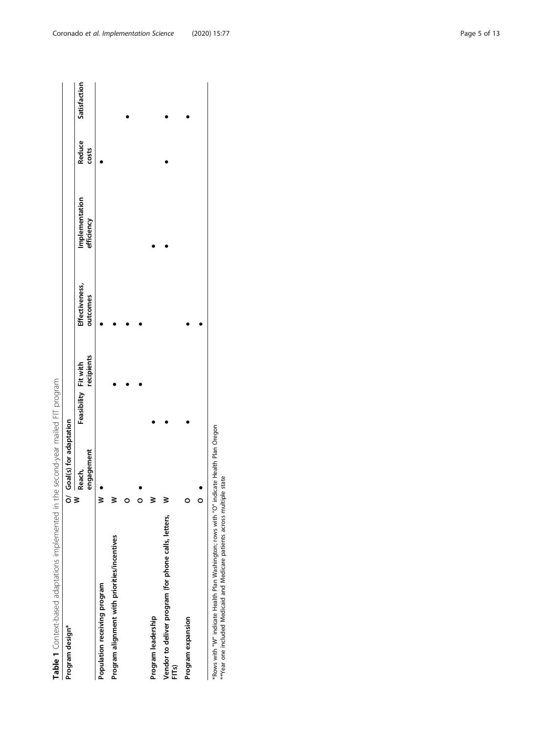<span id="page-4-0"></span>

| Table 1 Context-based adaptations implemented in the second-year mailed FIT program |   |                        |                                    |                            |                              |                 |              |
|-------------------------------------------------------------------------------------|---|------------------------|------------------------------------|----------------------------|------------------------------|-----------------|--------------|
| Program design*                                                                     | ò | Goal(s) for adaptation |                                    |                            |                              |                 |              |
|                                                                                     | ≷ | engagement<br>Reach,   | recipients<br>Feasibility Fit with | Effectiveness,<br>outcomes | Implementation<br>efficiency | Reduce<br>costs | Satisfaction |
| Population receiving program                                                        |   |                        |                                    |                            |                              |                 |              |
| Program alignment with priorities/incentives                                        | ≷ |                        |                                    |                            |                              |                 |              |
|                                                                                     |   |                        |                                    |                            |                              |                 |              |
|                                                                                     | 0 |                        |                                    |                            |                              |                 |              |
| Program leadership                                                                  | ≩ |                        |                                    |                            |                              |                 |              |
| Vendor to deliver program (for phone calls, letters,<br>FITs)                       | ≷ |                        |                                    |                            |                              |                 |              |
| Program expansion                                                                   | o |                        |                                    |                            |                              |                 |              |
|                                                                                     | O |                        |                                    |                            |                              |                 |              |

"Rows with "W" indicate Health Plan Washington; rows with "O" indicate Health Plan Oregon<br>""Year one included Medicaid and Medicare patients across multiple state \*Rows with "W" indicate Health Plan Washington; rows with "O" indicate Health Plan Oregon \*\*Year one included Medicaid and Medicare patients across multiple state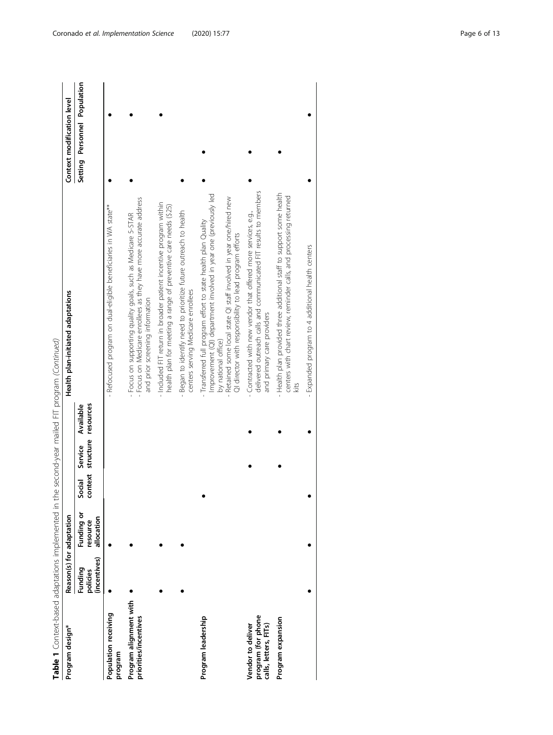| ś<br>í<br>١<br>j<br>$\overline{\phantom{a}}$<br>くどうどく<br>J<br>į<br>Í        |
|-----------------------------------------------------------------------------|
| ļ                                                                           |
| )<br>)<br>:<br>i<br>֧֝֝֝֝ <b>֦֖</b><br>١                                    |
| yu<br>l<br>ļ                                                                |
| l<br>$\frac{5}{1}$                                                          |
| Ş<br>らりりこう<br>ׇ֚֓֡                                                          |
|                                                                             |
|                                                                             |
| ļ<br>$\frac{1}{2}$                                                          |
| )<br>)<br>)<br>)<br>)<br>)<br>,                                             |
| フリコン・ノ<br>الله مستقصد المستقط<br>こうここ<br>)<br>J<br>$\overline{\phantom{a}}$ |
| I                                                                           |
| 이상<br>$\vdots$<br>ĺ                                                         |
| ١                                                                           |

| Table 1 Context-based adaptations implemented in the second-year mailed FIT program (Continued)<br>Program design* |                                     | Reason(s) for adaptation             |        |         |                                          | Health plan-initiated adaptations                                                                                                                                                                                                                                                       | Context modification level   |
|--------------------------------------------------------------------------------------------------------------------|-------------------------------------|--------------------------------------|--------|---------|------------------------------------------|-----------------------------------------------------------------------------------------------------------------------------------------------------------------------------------------------------------------------------------------------------------------------------------------|------------------------------|
|                                                                                                                    | (incentives)<br>Funding<br>policies | Funding or<br>allocation<br>resource | Social | Service | context structure resources<br>Available |                                                                                                                                                                                                                                                                                         | Setting Personnel Population |
| Population receiving<br>program                                                                                    |                                     |                                      |        |         |                                          | - Refocused program on dual-eligible beneficiaries in WA state**                                                                                                                                                                                                                        |                              |
| Program alignment with<br>priorities/incentives                                                                    |                                     |                                      |        |         |                                          | - Focus on Medicare enrollees as they have more accurate address<br>Focus on supporting quality goals, such as Medicare 5-STAR<br>and prior screening information                                                                                                                       |                              |
|                                                                                                                    |                                     |                                      |        |         |                                          | - Included FIT return in broader patient incentive program within<br>health plan for meeting a range of preventive care needs (\$25)                                                                                                                                                    |                              |
|                                                                                                                    |                                     |                                      |        |         |                                          | Began to identify need to prioritize future outreach to health<br>centers serving Medicare enrollees                                                                                                                                                                                    |                              |
| Program leadership                                                                                                 |                                     |                                      |        |         |                                          | Improvement (QI) department involved in year one (previously led<br>Retained some local state QI staff involved in year one/hired new<br>Transferred full program effort to state health plan Quality<br>QI director with responsibility to lead program efforts<br>by national office) |                              |
| program (for phone<br>calls, letters, FITs)<br>Vendor to deliver                                                   |                                     |                                      |        |         |                                          | delivered outreach calls and communicated FIT results to members<br>Contracted with new vendor that offered more services, e.g.,<br>and primary care providers                                                                                                                          |                              |
| Program expansion                                                                                                  |                                     |                                      |        |         |                                          | - Health plan provided three additional staff to support some health<br>centers with chart review, reminder calls, and processing returned<br>kits                                                                                                                                      |                              |
|                                                                                                                    |                                     |                                      |        |         |                                          | - Expanded program to 4 additional health centers                                                                                                                                                                                                                                       |                              |
|                                                                                                                    |                                     |                                      |        |         |                                          |                                                                                                                                                                                                                                                                                         |                              |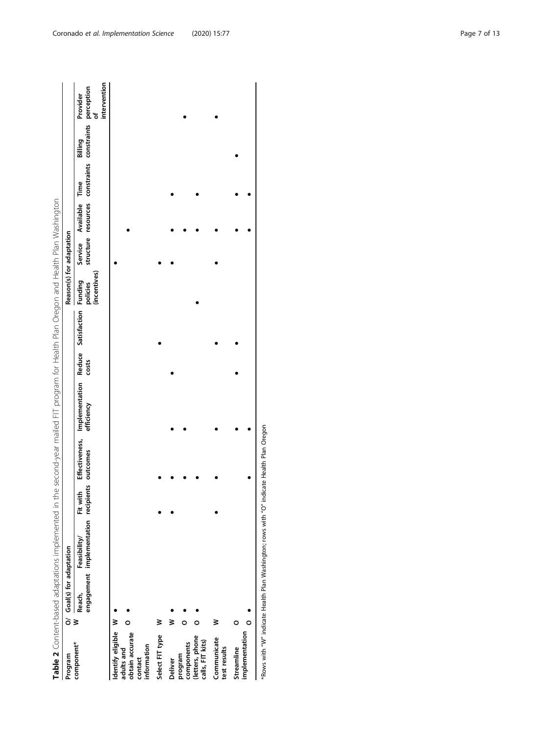| <b>Table</b>   |   |        |                                                                                                            | -- הל וה למרה |  |  |  |  |
|----------------|---|--------|------------------------------------------------------------------------------------------------------------|---------------|--|--|--|--|
|                | ĩ | ;<br>) |                                                                                                            |               |  |  |  |  |
| <br> <br> <br> | ξ |        | r Doodh Earthlitheil Eitheild Effective Innebearantesiine Dodine Cotiefaction Eurolion Coulder e Doollahig |               |  |  |  |  |

<span id="page-6-0"></span>

| Program                                                 |        | O/ Goal(s) for adaptation |                                                               |                      |             |                                                                         |       | Reason(s) for adaptation |         |                |                                                                         |                          |
|---------------------------------------------------------|--------|---------------------------|---------------------------------------------------------------|----------------------|-------------|-------------------------------------------------------------------------|-------|--------------------------|---------|----------------|-------------------------------------------------------------------------|--------------------------|
| component*                                              | $\geq$ | Reach,                    | engagement implementation recipients outcomes<br>Feasibility/ | Fit with             |             | Effectiveness, Implementation Reduce Satisfaction Funding<br>efficiency | costs | (incentives)<br>policies | Service | Available Time | structure resources constraints constraints perception<br>of<br>Billing | intervention<br>Provider |
| Identify eligible W                                     |        |                           |                                                               |                      |             |                                                                         |       |                          |         |                |                                                                         |                          |
| obtain accurate<br>information<br>adults and<br>contact |        |                           |                                                               |                      |             |                                                                         |       |                          |         |                |                                                                         |                          |
| Select FIT type                                         |        |                           |                                                               |                      |             |                                                                         |       |                          |         |                |                                                                         |                          |
| <b>Deliver</b>                                          |        |                           |                                                               |                      |             |                                                                         |       |                          |         |                |                                                                         |                          |
| components<br>program                                   |        |                           |                                                               |                      |             |                                                                         |       |                          |         |                |                                                                         |                          |
| (letters, phone<br>calls, FIT kits)                     |        |                           |                                                               |                      |             |                                                                         |       |                          |         |                |                                                                         |                          |
| Communicate<br>test results                             | ℥      |                           |                                                               |                      |             |                                                                         |       |                          |         |                |                                                                         |                          |
| Streamline                                              |        |                           |                                                               |                      |             |                                                                         |       |                          |         |                |                                                                         |                          |
| implementation                                          |        |                           |                                                               |                      |             |                                                                         |       |                          |         |                |                                                                         |                          |
|                                                         |        |                           | $\ddot{}}$                                                    | $\ddot{\phantom{0}}$ | י<br>:<br>: |                                                                         |       |                          |         |                |                                                                         |                          |

\*Rows with "W" indicate Health Plan Washington; rows with "O" indicate Health Plan Oregon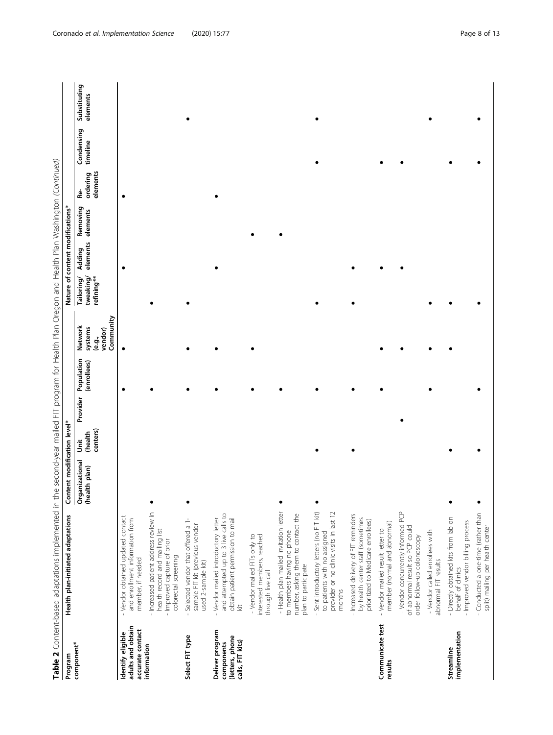| Program                                                              | Table 2 Content-based adaptations implemented in the second-year mailed FIT program for Health Plan Oregon and Health Plan Washington (Continued)<br>Health plan-initiated adaptations | Content modification level*     |                          |          |                           |                                                     |                                       |                    | Nature of content modifications* |                            |                        |                          |
|----------------------------------------------------------------------|----------------------------------------------------------------------------------------------------------------------------------------------------------------------------------------|---------------------------------|--------------------------|----------|---------------------------|-----------------------------------------------------|---------------------------------------|--------------------|----------------------------------|----------------------------|------------------------|--------------------------|
| component*                                                           |                                                                                                                                                                                        | Organizational<br>(health plan) | centers)<br>(health<br>š | Provider | Population<br>(enrollees) | Community<br>Network<br>systems<br>vendor)<br>é.9., | tweaking/<br>refining**<br>Tailoring/ | elements<br>Adding | Removing<br>elements             | elements<br>ordering<br>يه | Condensing<br>timeline | Substituting<br>elements |
| adults and obtain<br>accurate contact<br>Identify eligible           | - Vendor obtained updated contact<br>and enrollment information from<br>member, if needed                                                                                              |                                 |                          |          |                           |                                                     |                                       |                    |                                  |                            |                        |                          |
| information                                                          | - Increased patient address review in<br>health record and mailing list<br>- Improved capture of prior<br>colorectal screening                                                         |                                 |                          |          |                           |                                                     |                                       |                    |                                  |                            |                        |                          |
| Select FIT type                                                      | Selected vendor that offered a 1-<br>sample FIT kit (previous vendor<br>used 2-sample kit)                                                                                             |                                 |                          |          |                           |                                                     |                                       |                    |                                  |                            |                        |                          |
| Deliver program<br>(letters, phone<br>calls, FIT kits)<br>components | and attempted up to 3 live calls to<br>obtain patient permission to mail<br>Vendor mailed introductory letter<br>$\frac{1}{2}$                                                         |                                 |                          |          |                           |                                                     |                                       |                    |                                  |                            |                        |                          |
|                                                                      | interested members, reached<br>- Vendor mailed FITs only to<br>through live call                                                                                                       |                                 |                          |          |                           |                                                     |                                       |                    |                                  |                            |                        |                          |
|                                                                      | - Health plan mailed invitation letter<br>number, asking them to contact the<br>to members having no phone<br>plan to participate                                                      |                                 |                          |          |                           |                                                     |                                       |                    |                                  |                            |                        |                          |
|                                                                      | - Sent introductory letters (no FIT kit)<br>provider or no clinic visits in last 12<br>to patients with no assigned<br>months                                                          |                                 |                          |          |                           |                                                     |                                       |                    |                                  |                            |                        |                          |
|                                                                      | - Increased delivery of FIT reminders<br>by health center staff (sometimes<br>prioritized to Medicare enrollees)                                                                       |                                 |                          |          |                           |                                                     |                                       |                    |                                  |                            |                        |                          |
| Communicate test<br>results                                          | member (normal and abnomal)<br>- Vendor mailed result letter to                                                                                                                        |                                 |                          |          |                           |                                                     |                                       |                    |                                  |                            |                        |                          |
|                                                                      | - Vendor concurrently informed PCP<br>of abnormal result so PCP could<br>order follow-up colonoscopy                                                                                   |                                 |                          |          |                           |                                                     |                                       |                    |                                  |                            |                        |                          |
|                                                                      | - Vendor called enrollees with<br>abnomal FIT results                                                                                                                                  |                                 |                          |          |                           |                                                     |                                       |                    |                                  |                            |                        |                          |
| implementation<br>Streamline                                         | - Directly obtained kits from lab on<br>- Improved vendor billing process<br>behalf of clinics                                                                                         |                                 |                          |          |                           |                                                     |                                       |                    |                                  |                            |                        |                          |
|                                                                      | Conducted a one-time (rather than<br>split) mailing per health center                                                                                                                  |                                 |                          |          |                           |                                                     |                                       |                    |                                  |                            |                        |                          |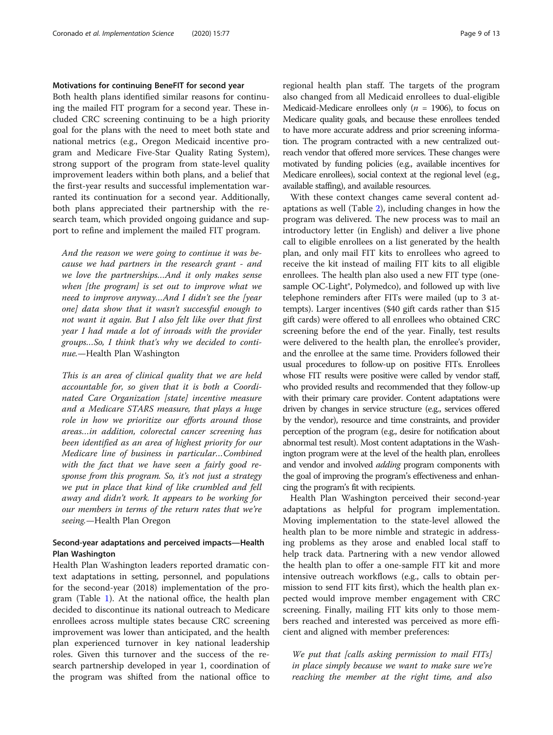#### Motivations for continuing BeneFIT for second year

Both health plans identified similar reasons for continuing the mailed FIT program for a second year. These included CRC screening continuing to be a high priority goal for the plans with the need to meet both state and national metrics (e.g., Oregon Medicaid incentive program and Medicare Five-Star Quality Rating System), strong support of the program from state-level quality improvement leaders within both plans, and a belief that the first-year results and successful implementation warranted its continuation for a second year. Additionally, both plans appreciated their partnership with the research team, which provided ongoing guidance and support to refine and implement the mailed FIT program.

And the reason we were going to continue it was because we had partners in the research grant - and we love the partnerships…And it only makes sense when [the program] is set out to improve what we need to improve anyway…And I didn't see the [year one] data show that it wasn't successful enough to not want it again. But I also felt like over that first year I had made a lot of inroads with the provider groups…So, I think that's why we decided to continue.—Health Plan Washington

This is an area of clinical quality that we are held accountable for, so given that it is both a Coordinated Care Organization [state] incentive measure and a Medicare STARS measure, that plays a huge role in how we prioritize our efforts around those areas…in addition, colorectal cancer screening has been identified as an area of highest priority for our Medicare line of business in particular…Combined with the fact that we have seen a fairly good response from this program. So, it's not just a strategy we put in place that kind of like crumbled and fell away and didn't work. It appears to be working for our members in terms of the return rates that we're seeing.—Health Plan Oregon

### Second-year adaptations and perceived impacts—Health Plan Washington

Health Plan Washington leaders reported dramatic context adaptations in setting, personnel, and populations for the second-year (2018) implementation of the program (Table [1\)](#page-4-0). At the national office, the health plan decided to discontinue its national outreach to Medicare enrollees across multiple states because CRC screening improvement was lower than anticipated, and the health plan experienced turnover in key national leadership roles. Given this turnover and the success of the research partnership developed in year 1, coordination of the program was shifted from the national office to regional health plan staff. The targets of the program also changed from all Medicaid enrollees to dual-eligible Medicaid-Medicare enrollees only ( $n = 1906$ ), to focus on Medicare quality goals, and because these enrollees tended to have more accurate address and prior screening information. The program contracted with a new centralized outreach vendor that offered more services. These changes were motivated by funding policies (e.g., available incentives for Medicare enrollees), social context at the regional level (e.g., available staffing), and available resources.

With these context changes came several content adaptations as well (Table [2\)](#page-6-0), including changes in how the program was delivered. The new process was to mail an introductory letter (in English) and deliver a live phone call to eligible enrollees on a list generated by the health plan, and only mail FIT kits to enrollees who agreed to receive the kit instead of mailing FIT kits to all eligible enrollees. The health plan also used a new FIT type (onesample OC-Light<sup>®</sup>, Polymedco), and followed up with live telephone reminders after FITs were mailed (up to 3 attempts). Larger incentives (\$40 gift cards rather than \$15 gift cards) were offered to all enrollees who obtained CRC screening before the end of the year. Finally, test results were delivered to the health plan, the enrollee's provider, and the enrollee at the same time. Providers followed their usual procedures to follow-up on positive FITs. Enrollees whose FIT results were positive were called by vendor staff, who provided results and recommended that they follow-up with their primary care provider. Content adaptations were driven by changes in service structure (e.g., services offered by the vendor), resource and time constraints, and provider perception of the program (e.g., desire for notification about abnormal test result). Most content adaptations in the Washington program were at the level of the health plan, enrollees and vendor and involved *adding* program components with the goal of improving the program's effectiveness and enhancing the program's fit with recipients.

Health Plan Washington perceived their second-year adaptations as helpful for program implementation. Moving implementation to the state-level allowed the health plan to be more nimble and strategic in addressing problems as they arose and enabled local staff to help track data. Partnering with a new vendor allowed the health plan to offer a one-sample FIT kit and more intensive outreach workflows (e.g., calls to obtain permission to send FIT kits first), which the health plan expected would improve member engagement with CRC screening. Finally, mailing FIT kits only to those members reached and interested was perceived as more efficient and aligned with member preferences:

We put that [calls asking permission to mail FITs] in place simply because we want to make sure we're reaching the member at the right time, and also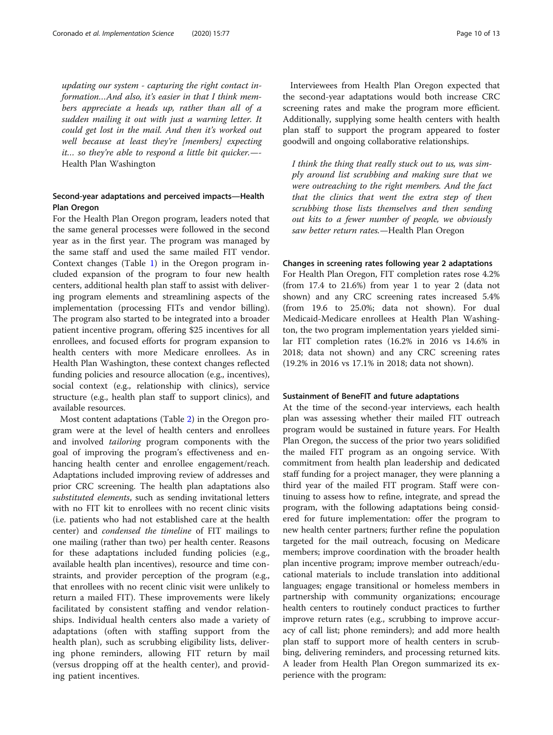updating our system - capturing the right contact information…And also, it's easier in that I think members appreciate a heads up, rather than all of a sudden mailing it out with just a warning letter. It could get lost in the mail. And then it's worked out well because at least they're [members] expecting it… so they're able to respond a little bit quicker.—- Health Plan Washington

### Second-year adaptations and perceived impacts—Health Plan Oregon

For the Health Plan Oregon program, leaders noted that the same general processes were followed in the second year as in the first year. The program was managed by the same staff and used the same mailed FIT vendor. Context changes (Table [1](#page-4-0)) in the Oregon program included expansion of the program to four new health centers, additional health plan staff to assist with delivering program elements and streamlining aspects of the implementation (processing FITs and vendor billing). The program also started to be integrated into a broader patient incentive program, offering \$25 incentives for all enrollees, and focused efforts for program expansion to health centers with more Medicare enrollees. As in Health Plan Washington, these context changes reflected funding policies and resource allocation (e.g., incentives), social context (e.g., relationship with clinics), service structure (e.g., health plan staff to support clinics), and available resources.

Most content adaptations (Table [2](#page-6-0)) in the Oregon program were at the level of health centers and enrollees and involved tailoring program components with the goal of improving the program's effectiveness and enhancing health center and enrollee engagement/reach. Adaptations included improving review of addresses and prior CRC screening. The health plan adaptations also substituted elements, such as sending invitational letters with no FIT kit to enrollees with no recent clinic visits (i.e. patients who had not established care at the health center) and condensed the timeline of FIT mailings to one mailing (rather than two) per health center. Reasons for these adaptations included funding policies (e.g., available health plan incentives), resource and time constraints, and provider perception of the program (e.g., that enrollees with no recent clinic visit were unlikely to return a mailed FIT). These improvements were likely facilitated by consistent staffing and vendor relationships. Individual health centers also made a variety of adaptations (often with staffing support from the health plan), such as scrubbing eligibility lists, delivering phone reminders, allowing FIT return by mail (versus dropping off at the health center), and providing patient incentives.

Interviewees from Health Plan Oregon expected that the second-year adaptations would both increase CRC screening rates and make the program more efficient. Additionally, supplying some health centers with health plan staff to support the program appeared to foster goodwill and ongoing collaborative relationships.

I think the thing that really stuck out to us, was simply around list scrubbing and making sure that we were outreaching to the right members. And the fact that the clinics that went the extra step of then scrubbing those lists themselves and then sending out kits to a fewer number of people, we obviously saw better return rates.—Health Plan Oregon

#### Changes in screening rates following year 2 adaptations

For Health Plan Oregon, FIT completion rates rose 4.2% (from 17.4 to 21.6%) from year 1 to year 2 (data not shown) and any CRC screening rates increased 5.4% (from 19.6 to 25.0%; data not shown). For dual Medicaid-Medicare enrollees at Health Plan Washington, the two program implementation years yielded similar FIT completion rates (16.2% in 2016 vs 14.6% in 2018; data not shown) and any CRC screening rates (19.2% in 2016 vs 17.1% in 2018; data not shown).

#### Sustainment of BeneFIT and future adaptations

At the time of the second-year interviews, each health plan was assessing whether their mailed FIT outreach program would be sustained in future years. For Health Plan Oregon, the success of the prior two years solidified the mailed FIT program as an ongoing service. With commitment from health plan leadership and dedicated staff funding for a project manager, they were planning a third year of the mailed FIT program. Staff were continuing to assess how to refine, integrate, and spread the program, with the following adaptations being considered for future implementation: offer the program to new health center partners; further refine the population targeted for the mail outreach, focusing on Medicare members; improve coordination with the broader health plan incentive program; improve member outreach/educational materials to include translation into additional languages; engage transitional or homeless members in partnership with community organizations; encourage health centers to routinely conduct practices to further improve return rates (e.g., scrubbing to improve accuracy of call list; phone reminders); and add more health plan staff to support more of health centers in scrubbing, delivering reminders, and processing returned kits. A leader from Health Plan Oregon summarized its experience with the program: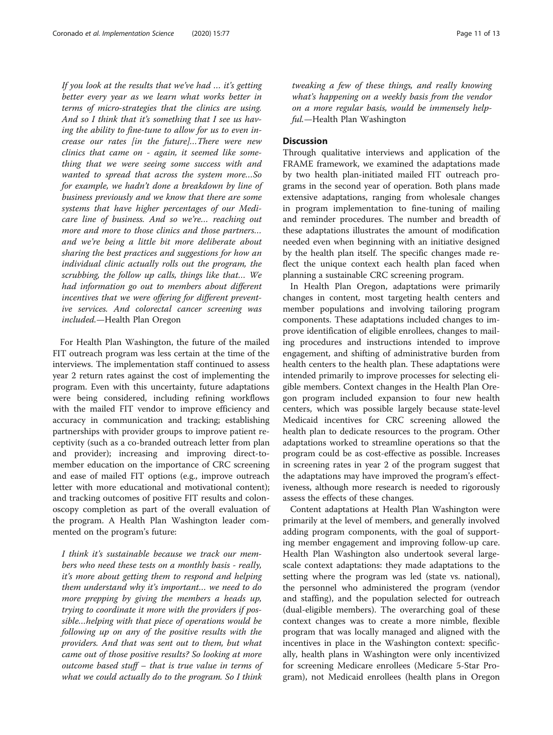If you look at the results that we've had … it's getting better every year as we learn what works better in terms of micro-strategies that the clinics are using. And so I think that it's something that I see us having the ability to fine-tune to allow for us to even increase our rates [in the future]…There were new clinics that came on - again, it seemed like something that we were seeing some success with and wanted to spread that across the system more…So for example, we hadn't done a breakdown by line of business previously and we know that there are some systems that have higher percentages of our Medicare line of business. And so we're… reaching out more and more to those clinics and those partners… and we're being a little bit more deliberate about sharing the best practices and suggestions for how an individual clinic actually rolls out the program, the scrubbing, the follow up calls, things like that… We had information go out to members about different incentives that we were offering for different preventive services. And colorectal cancer screening was included.—Health Plan Oregon

For Health Plan Washington, the future of the mailed FIT outreach program was less certain at the time of the interviews. The implementation staff continued to assess year 2 return rates against the cost of implementing the program. Even with this uncertainty, future adaptations were being considered, including refining workflows with the mailed FIT vendor to improve efficiency and accuracy in communication and tracking; establishing partnerships with provider groups to improve patient receptivity (such as a co-branded outreach letter from plan and provider); increasing and improving direct-tomember education on the importance of CRC screening and ease of mailed FIT options (e.g., improve outreach letter with more educational and motivational content); and tracking outcomes of positive FIT results and colonoscopy completion as part of the overall evaluation of the program. A Health Plan Washington leader commented on the program's future:

I think it's sustainable because we track our members who need these tests on a monthly basis - really, it's more about getting them to respond and helping them understand why it's important… we need to do more prepping by giving the members a heads up, trying to coordinate it more with the providers if possible…helping with that piece of operations would be following up on any of the positive results with the providers. And that was sent out to them, but what came out of those positive results? So looking at more outcome based stuff – that is true value in terms of what we could actually do to the program. So I think tweaking a few of these things, and really knowing what's happening on a weekly basis from the vendor on a more regular basis, would be immensely helpful.—Health Plan Washington

#### **Discussion**

Through qualitative interviews and application of the FRAME framework, we examined the adaptations made by two health plan-initiated mailed FIT outreach programs in the second year of operation. Both plans made extensive adaptations, ranging from wholesale changes in program implementation to fine-tuning of mailing and reminder procedures. The number and breadth of these adaptations illustrates the amount of modification needed even when beginning with an initiative designed by the health plan itself. The specific changes made reflect the unique context each health plan faced when planning a sustainable CRC screening program.

In Health Plan Oregon, adaptations were primarily changes in content, most targeting health centers and member populations and involving tailoring program components. These adaptations included changes to improve identification of eligible enrollees, changes to mailing procedures and instructions intended to improve engagement, and shifting of administrative burden from health centers to the health plan. These adaptations were intended primarily to improve processes for selecting eligible members. Context changes in the Health Plan Oregon program included expansion to four new health centers, which was possible largely because state-level Medicaid incentives for CRC screening allowed the health plan to dedicate resources to the program. Other adaptations worked to streamline operations so that the program could be as cost-effective as possible. Increases in screening rates in year 2 of the program suggest that the adaptations may have improved the program's effectiveness, although more research is needed to rigorously assess the effects of these changes.

Content adaptations at Health Plan Washington were primarily at the level of members, and generally involved adding program components, with the goal of supporting member engagement and improving follow-up care. Health Plan Washington also undertook several largescale context adaptations: they made adaptations to the setting where the program was led (state vs. national), the personnel who administered the program (vendor and staffing), and the population selected for outreach (dual-eligible members). The overarching goal of these context changes was to create a more nimble, flexible program that was locally managed and aligned with the incentives in place in the Washington context: specifically, health plans in Washington were only incentivized for screening Medicare enrollees (Medicare 5-Star Program), not Medicaid enrollees (health plans in Oregon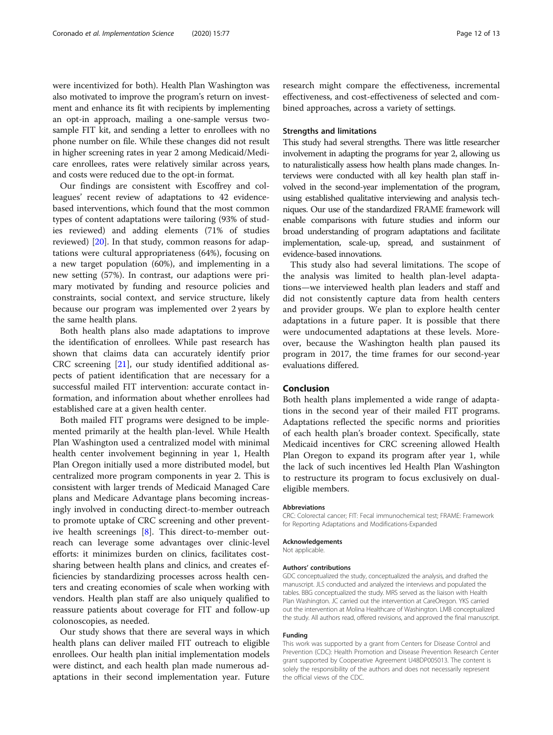were incentivized for both). Health Plan Washington was also motivated to improve the program's return on investment and enhance its fit with recipients by implementing an opt-in approach, mailing a one-sample versus twosample FIT kit, and sending a letter to enrollees with no phone number on file. While these changes did not result in higher screening rates in year 2 among Medicaid/Medicare enrollees, rates were relatively similar across years, and costs were reduced due to the opt-in format.

Our findings are consistent with Escoffrey and colleagues' recent review of adaptations to 42 evidencebased interventions, which found that the most common types of content adaptations were tailoring (93% of studies reviewed) and adding elements (71% of studies reviewed) [\[20](#page-12-0)]. In that study, common reasons for adaptations were cultural appropriateness (64%), focusing on a new target population (60%), and implementing in a new setting (57%). In contrast, our adaptions were primary motivated by funding and resource policies and constraints, social context, and service structure, likely because our program was implemented over 2 years by the same health plans.

Both health plans also made adaptations to improve the identification of enrollees. While past research has shown that claims data can accurately identify prior CRC screening [[21\]](#page-12-0), our study identified additional aspects of patient identification that are necessary for a successful mailed FIT intervention: accurate contact information, and information about whether enrollees had established care at a given health center.

Both mailed FIT programs were designed to be implemented primarily at the health plan-level. While Health Plan Washington used a centralized model with minimal health center involvement beginning in year 1, Health Plan Oregon initially used a more distributed model, but centralized more program components in year 2. This is consistent with larger trends of Medicaid Managed Care plans and Medicare Advantage plans becoming increasingly involved in conducting direct-to-member outreach to promote uptake of CRC screening and other preventive health screenings [[8](#page-12-0)]. This direct-to-member outreach can leverage some advantages over clinic-level efforts: it minimizes burden on clinics, facilitates costsharing between health plans and clinics, and creates efficiencies by standardizing processes across health centers and creating economies of scale when working with vendors. Health plan staff are also uniquely qualified to reassure patients about coverage for FIT and follow-up colonoscopies, as needed.

Our study shows that there are several ways in which health plans can deliver mailed FIT outreach to eligible enrollees. Our health plan initial implementation models were distinct, and each health plan made numerous adaptations in their second implementation year. Future

research might compare the effectiveness, incremental effectiveness, and cost-effectiveness of selected and combined approaches, across a variety of settings.

#### Strengths and limitations

This study had several strengths. There was little researcher involvement in adapting the programs for year 2, allowing us to naturalistically assess how health plans made changes. Interviews were conducted with all key health plan staff involved in the second-year implementation of the program, using established qualitative interviewing and analysis techniques. Our use of the standardized FRAME framework will enable comparisons with future studies and inform our broad understanding of program adaptations and facilitate implementation, scale-up, spread, and sustainment of evidence-based innovations.

This study also had several limitations. The scope of the analysis was limited to health plan-level adaptations—we interviewed health plan leaders and staff and did not consistently capture data from health centers and provider groups. We plan to explore health center adaptations in a future paper. It is possible that there were undocumented adaptations at these levels. Moreover, because the Washington health plan paused its program in 2017, the time frames for our second-year evaluations differed.

#### Conclusion

Both health plans implemented a wide range of adaptations in the second year of their mailed FIT programs. Adaptations reflected the specific norms and priorities of each health plan's broader context. Specifically, state Medicaid incentives for CRC screening allowed Health Plan Oregon to expand its program after year 1, while the lack of such incentives led Health Plan Washington to restructure its program to focus exclusively on dualeligible members.

#### Abbreviations

CRC: Colorectal cancer; FIT: Fecal immunochemical test; FRAME: Framework for Reporting Adaptations and Modifications-Expanded

#### Acknowledgements

Not applicable.

#### Authors' contributions

GDC conceptualized the study, conceptualized the analysis, and drafted the manuscript. JLS conducted and analyzed the interviews and populated the tables. BBG conceptualized the study. MRS served as the liaison with Health Plan Washington. JC carried out the intervention at CareOregon. YKS carried out the intervention at Molina Healthcare of Washington. LMB conceptualized the study. All authors read, offered revisions, and approved the final manuscript.

#### Funding

This work was supported by a grant from Centers for Disease Control and Prevention (CDC): Health Promotion and Disease Prevention Research Center grant supported by Cooperative Agreement U48DP005013. The content is solely the responsibility of the authors and does not necessarily represent the official views of the CDC.